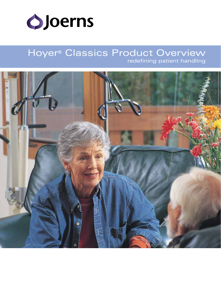

# Hoyer® Classics Product Overview redefining patient handling

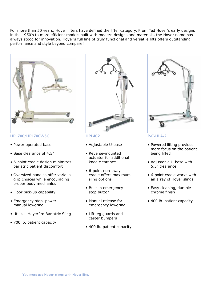For more than 50 years, Hoyer lifters have defined the lifter category. From Ted Hoyer's early designs in the 1950's to more efficient models built with modern designs and materials, the Hoyer name has always stood for innovation. Hoyer's full line of truly functional and versatile lifts offers outstanding performance and style beyond compare!



**HPL700/HPL700WSC**

- • Power operated base
- • Base clearance of 4.5"
- • 6-point cradle design minimizes bariatric patient discomfort
- • Oversized handles offer various grip choices while encouraging proper body mechanics
- Floor pick-up capability
- Emergency stop, power manual lowering
- • Utilizes HoyerPro Bariatric Sling
- 700 lb. patient capacity



**HPL402**

- • Adjustable U-base
- • Reverse-mounted actuator for additional knee clearance
- • 6-point non-sway cradle offers maximum sling options
- • Built-in emergency stop button
- • Manual release for emergency lowering
- • Lift leg guards and caster bumpers
- 400 lb. patient capacity



#### **P-C-HLA-2**

- Powered lifting provides more focus on the patient being lifted
- Adjustable U-base with 5.5" clearance
- • 6-point cradle works with an array of Hoyer slings
- Easy cleaning, durable chrome finish
- 400 lb. patient capacity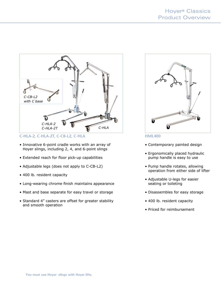

**C-HLA-2, C-HLA-2T, C-CB-L2, C-HLA**

- Innovative 6-point cradle works with an array of Hoyer slings, including 2, 4, and 6-point slings
- Extended reach for floor pick-up capabilities
- • Adjustable legs (does not apply to C-CB-L2)
- 400 lb. resident capacity
- Long-wearing chrome finish maintains appearance
- Mast and base separate for easy travel or storage
- Standard 4" casters are offset for greater stability and smooth operation



**HML400**

- Contemporary painted design
- Ergonomically placed hydraulic pump handle is easy to use
- Pump handle rotates, allowing operation from either side of lifter
- Adjustable U-legs for easier seating or toileting
- • Disassembles for easy storage
- 400 lb. resident capacity
- Priced for reimbursement